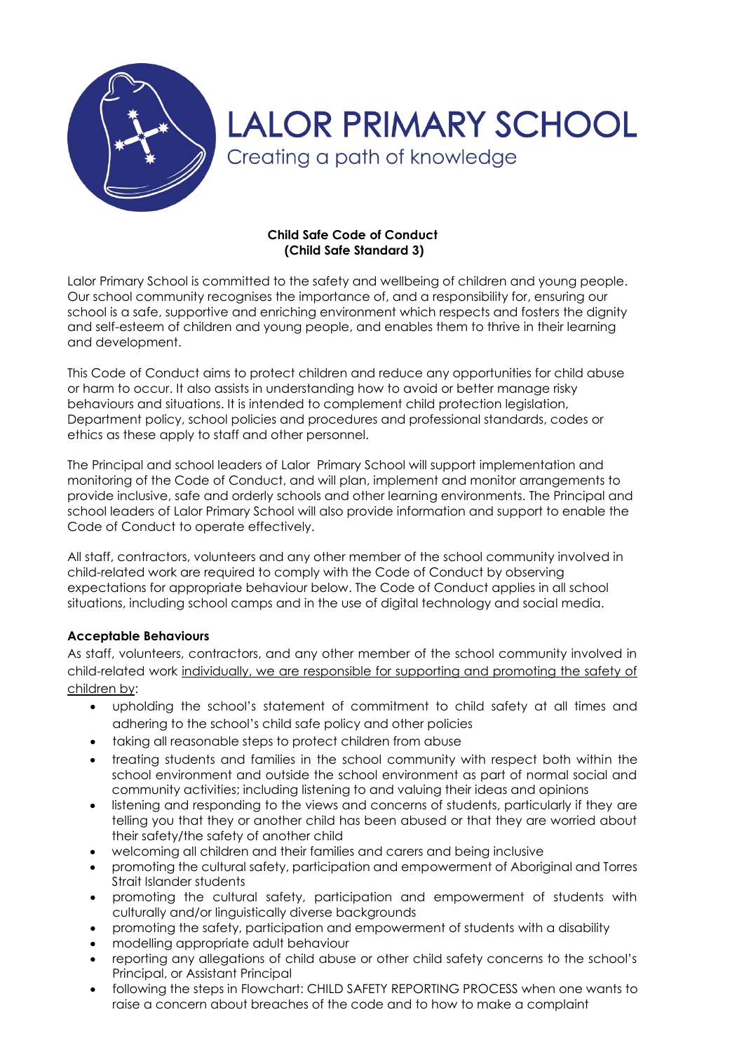

### **Child Safe Code of Conduct (Child Safe Standard 3)**

Lalor Primary School is committed to the safety and wellbeing of children and young people. Our school community recognises the importance of, and a responsibility for, ensuring our school is a safe, supportive and enriching environment which respects and fosters the dignity and self-esteem of children and young people, and enables them to thrive in their learning and development.

This Code of Conduct aims to protect children and reduce any opportunities for child abuse or harm to occur. It also assists in understanding how to avoid or better manage risky behaviours and situations. It is intended to complement child protection legislation, Department policy, school policies and procedures and professional standards, codes or ethics as these apply to staff and other personnel.

The Principal and school leaders of Lalor Primary School will support implementation and monitoring of the Code of Conduct, and will plan, implement and monitor arrangements to provide inclusive, safe and orderly schools and other learning environments. The Principal and school leaders of Lalor Primary School will also provide information and support to enable the Code of Conduct to operate effectively.

All staff, contractors, volunteers and any other member of the school community involved in child-related work are required to comply with the Code of Conduct by observing expectations for appropriate behaviour below. The Code of Conduct applies in all school situations, including school camps and in the use of digital technology and social media.

## **Acceptable Behaviours**

As staff, volunteers, contractors, and any other member of the school community involved in child-related work individually, we are responsible for supporting and promoting the safety of children by:

- upholding the school's statement of commitment to child safety at all times and adhering to the school's child safe policy and other policies
- taking all reasonable steps to protect children from abuse
- treating students and families in the school community with respect both within the school environment and outside the school environment as part of normal social and community activities; including listening to and valuing their ideas and opinions
- listening and responding to the views and concerns of students, particularly if they are telling you that they or another child has been abused or that they are worried about their safety/the safety of another child
- welcoming all children and their families and carers and being inclusive
- promoting the cultural safety, participation and empowerment of Aboriginal and Torres Strait Islander students
- promoting the cultural safety, participation and empowerment of students with culturally and/or linguistically diverse backgrounds
- promoting the safety, participation and empowerment of students with a disability
- modelling appropriate adult behaviour
- reporting any allegations of child abuse or other child safety concerns to the school's Principal, or Assistant Principal
- following the steps in Flowchart: CHILD SAFETY REPORTING PROCESS when one wants to raise a concern about breaches of the code and to how to make a complaint